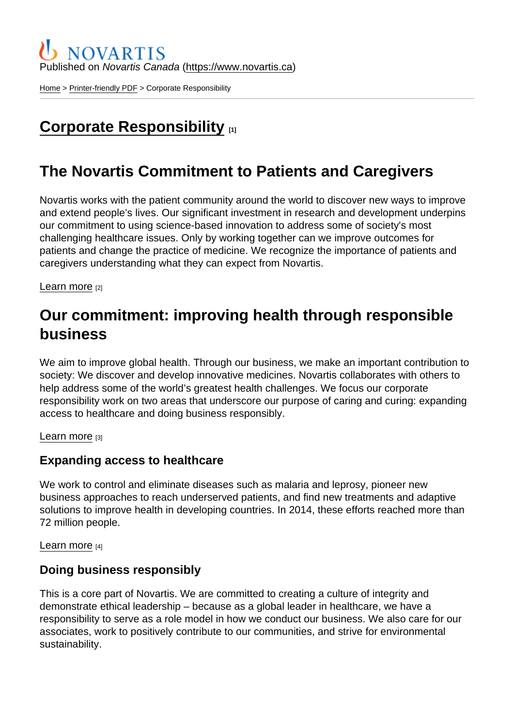Published on Novartis Canada [\(https://www.novartis.ca\)](https://www.novartis.ca)

[Home](https://www.novartis.ca/en) > [Printer-friendly PDF](https://www.novartis.ca/en/printpdf) > Corporate Responsibility

# [Corporate Responsibility](https://www.novartis.ca/en/about-us/corporate-responsibility) [1]

## The Novartis Commitment to Patients and Caregivers

Novartis works with the patient community around the world to discover new ways to improve and extend people's lives. Our significant investment in research and development underpins our commitment to using science-based innovation to address some of society's most challenging healthcare issues. Only by working together can we improve outcomes for patients and change the practice of medicine. We recognize the importance of patients and caregivers understanding what they can expect from Novartis.

[Learn more](https://www.novartis.ca/en/about-us/corporate-responsibility/novartis-commitment-patients-and-caregivers) [2]

## Our commitment: improving health through responsible business

We aim to improve global health. Through our business, we make an important contribution to society: We discover and develop innovative medicines. Novartis collaborates with others to help address some of the world's greatest health challenges. We focus our corporate responsibility work on two areas that underscore our purpose of caring and curing: expanding access to healthcare and doing business responsibly.

[Learn more](http://www.novartis.com/about-us/corporate-responsibility) [3]

#### Expanding access to healthcare

We work to control and eliminate diseases such as malaria and leprosy, pioneer new business approaches to reach underserved patients, and find new treatments and adaptive solutions to improve health in developing countries. In 2014, these efforts reached more than 72 million people.

[Learn more](http://www.novartis.com/about-us/corporate-responsibility/access-healthcare) [4]

#### Doing business responsibly

This is a core part of Novartis. We are committed to creating a culture of integrity and demonstrate ethical leadership – because as a global leader in healthcare, we have a responsibility to serve as a role model in how we conduct our business. We also care for our associates, work to positively contribute to our communities, and strive for environmental sustainability.